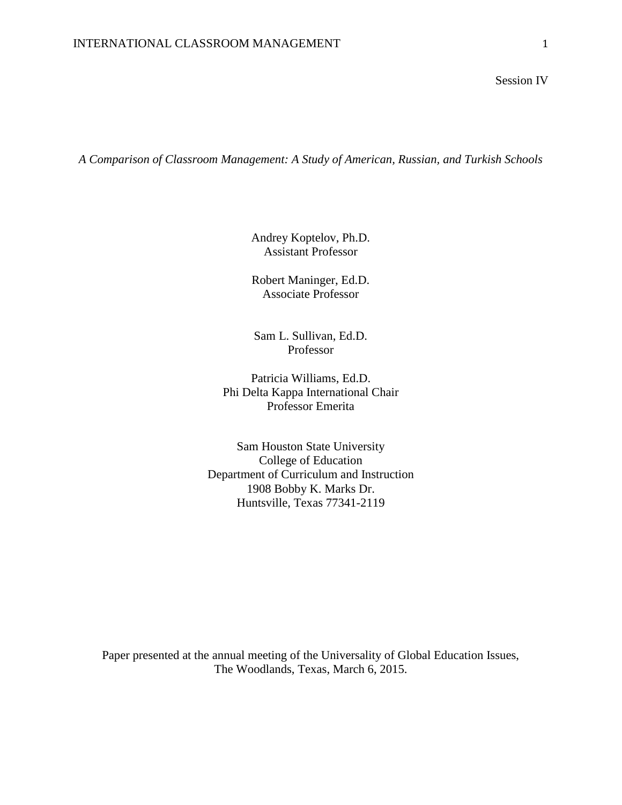Session IV

*A Comparison of Classroom Management: A Study of American, Russian, and Turkish Schools*

Andrey Koptelov, Ph.D. Assistant Professor

Robert Maninger, Ed.D. Associate Professor

Sam L. Sullivan, Ed.D. Professor

Patricia Williams, Ed.D. Phi Delta Kappa International Chair Professor Emerita

Sam Houston State University College of Education Department of Curriculum and Instruction 1908 Bobby K. Marks Dr. Huntsville, Texas 77341-2119

Paper presented at the annual meeting of the Universality of Global Education Issues, The Woodlands, Texas, March 6, 2015.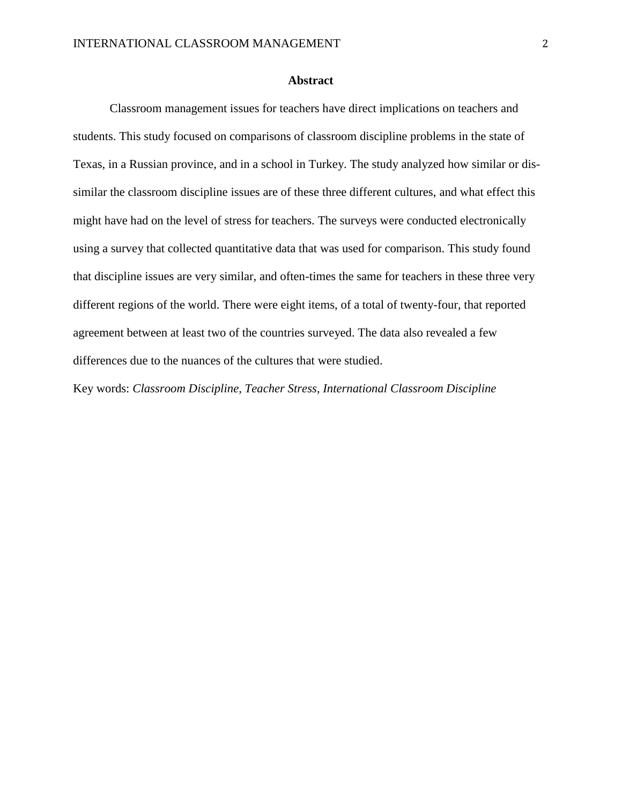# **Abstract**

Classroom management issues for teachers have direct implications on teachers and students. This study focused on comparisons of classroom discipline problems in the state of Texas, in a Russian province, and in a school in Turkey. The study analyzed how similar or dissimilar the classroom discipline issues are of these three different cultures, and what effect this might have had on the level of stress for teachers. The surveys were conducted electronically using a survey that collected quantitative data that was used for comparison. This study found that discipline issues are very similar, and often-times the same for teachers in these three very different regions of the world. There were eight items, of a total of twenty-four, that reported agreement between at least two of the countries surveyed. The data also revealed a few differences due to the nuances of the cultures that were studied.

Key words: *Classroom Discipline, Teacher Stress, International Classroom Discipline*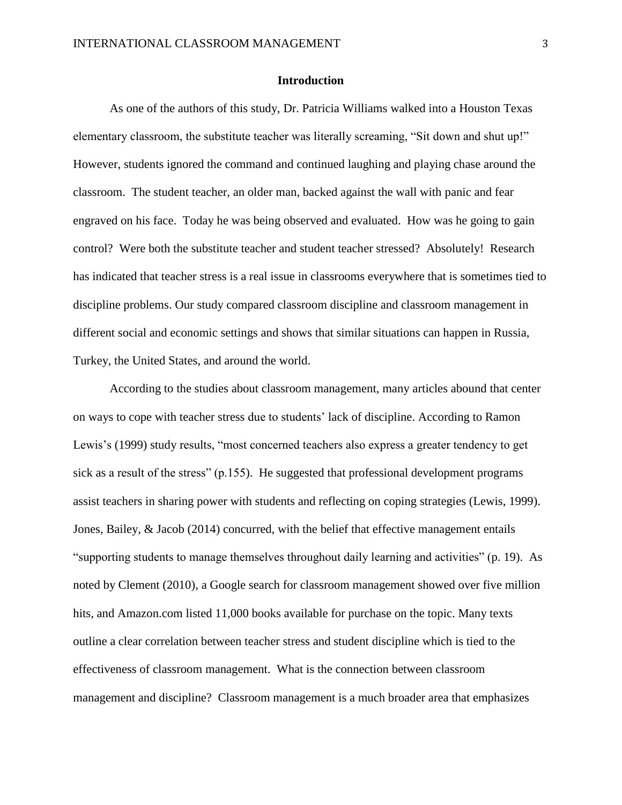# **Introduction**

As one of the authors of this study, Dr. Patricia Williams walked into a Houston Texas elementary classroom, the substitute teacher was literally screaming, "Sit down and shut up!" However, students ignored the command and continued laughing and playing chase around the classroom. The student teacher, an older man, backed against the wall with panic and fear engraved on his face. Today he was being observed and evaluated. How was he going to gain control? Were both the substitute teacher and student teacher stressed? Absolutely! Research has indicated that teacher stress is a real issue in classrooms everywhere that is sometimes tied to discipline problems. Our study compared classroom discipline and classroom management in different social and economic settings and shows that similar situations can happen in Russia, Turkey, the United States, and around the world.

According to the studies about classroom management, many articles abound that center on ways to cope with teacher stress due to students' lack of discipline. According to Ramon Lewis's (1999) study results, "most concerned teachers also express a greater tendency to get sick as a result of the stress" (p.155). He suggested that professional development programs assist teachers in sharing power with students and reflecting on coping strategies (Lewis, 1999). Jones, Bailey, & Jacob (2014) concurred, with the belief that effective management entails "supporting students to manage themselves throughout daily learning and activities" (p. 19). As noted by Clement (2010), a Google search for classroom management showed over five million hits, and Amazon.com listed 11,000 books available for purchase on the topic. Many texts outline a clear correlation between teacher stress and student discipline which is tied to the effectiveness of classroom management. What is the connection between classroom management and discipline? Classroom management is a much broader area that emphasizes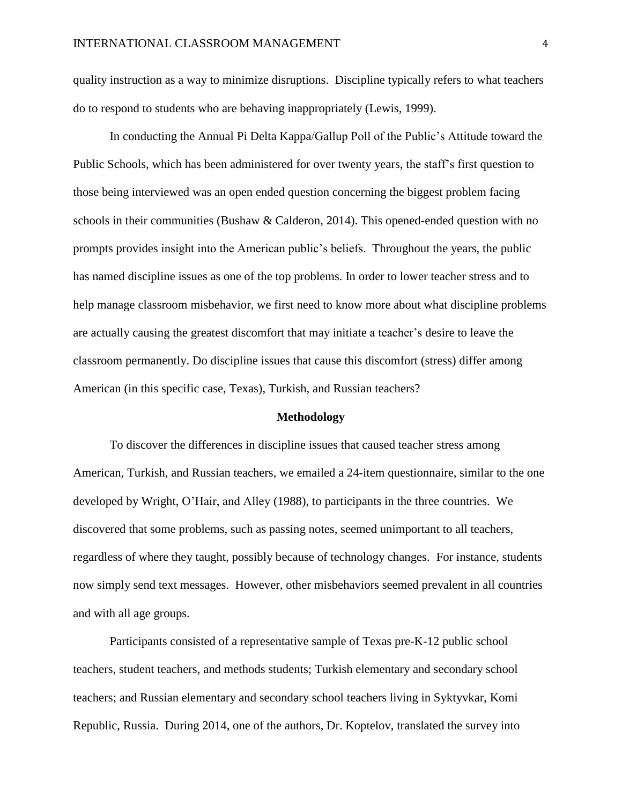quality instruction as a way to minimize disruptions. Discipline typically refers to what teachers do to respond to students who are behaving inappropriately (Lewis, 1999).

In conducting the Annual Pi Delta Kappa/Gallup Poll of the Public's Attitude toward the Public Schools, which has been administered for over twenty years, the staff's first question to those being interviewed was an open ended question concerning the biggest problem facing schools in their communities (Bushaw & Calderon, 2014). This opened-ended question with no prompts provides insight into the American public's beliefs. Throughout the years, the public has named discipline issues as one of the top problems. In order to lower teacher stress and to help manage classroom misbehavior, we first need to know more about what discipline problems are actually causing the greatest discomfort that may initiate a teacher's desire to leave the classroom permanently. Do discipline issues that cause this discomfort (stress) differ among American (in this specific case, Texas), Turkish, and Russian teachers?

#### **Methodology**

To discover the differences in discipline issues that caused teacher stress among American, Turkish, and Russian teachers, we emailed a 24-item questionnaire, similar to the one developed by Wright, O'Hair, and Alley (1988), to participants in the three countries. We discovered that some problems, such as passing notes, seemed unimportant to all teachers, regardless of where they taught, possibly because of technology changes. For instance, students now simply send text messages. However, other misbehaviors seemed prevalent in all countries and with all age groups.

Participants consisted of a representative sample of Texas pre-K-12 public school teachers, student teachers, and methods students; Turkish elementary and secondary school teachers; and Russian elementary and secondary school teachers living in Syktyvkar, Komi Republic, Russia. During 2014, one of the authors, Dr. Koptelov, translated the survey into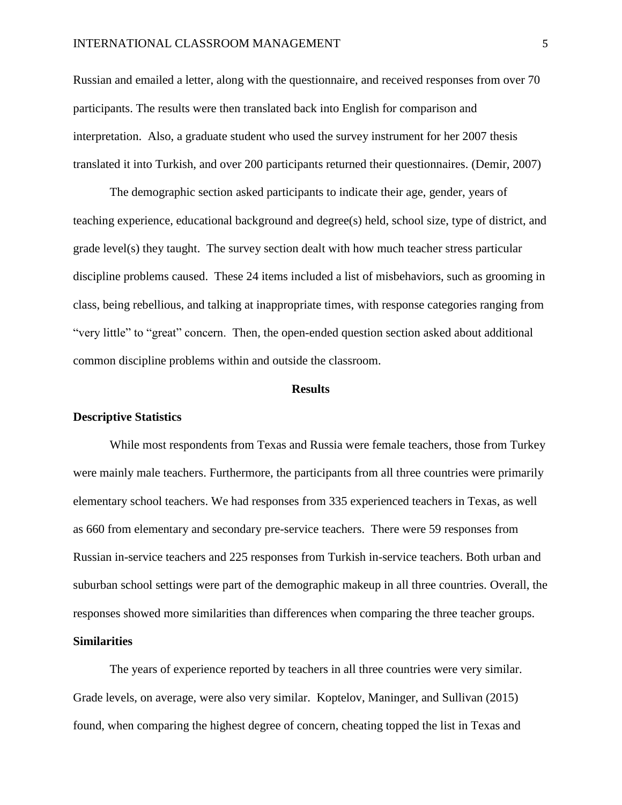Russian and emailed a letter, along with the questionnaire, and received responses from over 70 participants. The results were then translated back into English for comparison and interpretation. Also, a graduate student who used the survey instrument for her 2007 thesis translated it into Turkish, and over 200 participants returned their questionnaires. (Demir, 2007)

The demographic section asked participants to indicate their age, gender, years of teaching experience, educational background and degree(s) held, school size, type of district, and grade level(s) they taught. The survey section dealt with how much teacher stress particular discipline problems caused. These 24 items included a list of misbehaviors, such as grooming in class, being rebellious, and talking at inappropriate times, with response categories ranging from "very little" to "great" concern. Then, the open-ended question section asked about additional common discipline problems within and outside the classroom.

#### **Results**

#### **Descriptive Statistics**

While most respondents from Texas and Russia were female teachers, those from Turkey were mainly male teachers. Furthermore, the participants from all three countries were primarily elementary school teachers. We had responses from 335 experienced teachers in Texas, as well as 660 from elementary and secondary pre-service teachers. There were 59 responses from Russian in-service teachers and 225 responses from Turkish in-service teachers. Both urban and suburban school settings were part of the demographic makeup in all three countries. Overall, the responses showed more similarities than differences when comparing the three teacher groups.

# **Similarities**

The years of experience reported by teachers in all three countries were very similar. Grade levels, on average, were also very similar. Koptelov, Maninger, and Sullivan (2015) found, when comparing the highest degree of concern, cheating topped the list in Texas and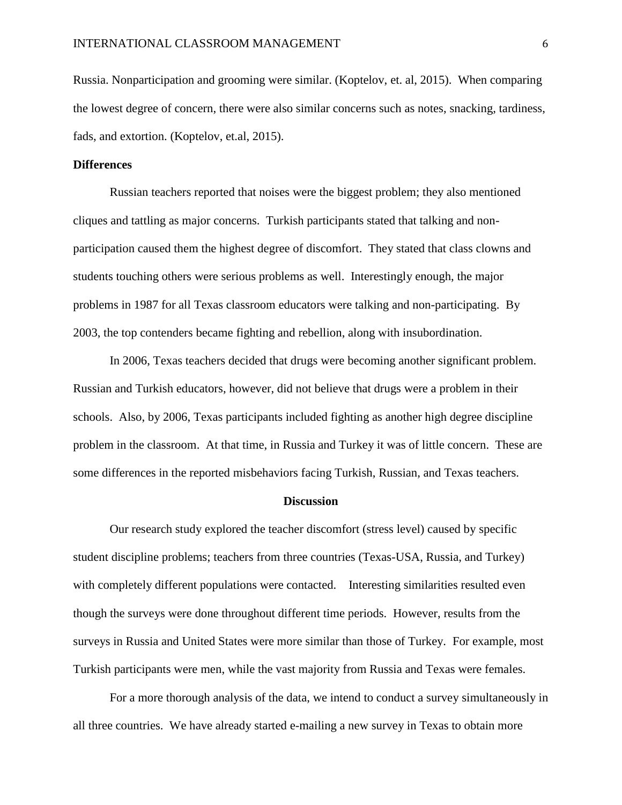Russia. Nonparticipation and grooming were similar. (Koptelov, et. al, 2015). When comparing the lowest degree of concern, there were also similar concerns such as notes, snacking, tardiness, fads, and extortion. (Koptelov, et.al, 2015).

# **Differences**

Russian teachers reported that noises were the biggest problem; they also mentioned cliques and tattling as major concerns. Turkish participants stated that talking and nonparticipation caused them the highest degree of discomfort. They stated that class clowns and students touching others were serious problems as well. Interestingly enough, the major problems in 1987 for all Texas classroom educators were talking and non-participating. By 2003, the top contenders became fighting and rebellion, along with insubordination.

In 2006, Texas teachers decided that drugs were becoming another significant problem. Russian and Turkish educators, however, did not believe that drugs were a problem in their schools. Also, by 2006, Texas participants included fighting as another high degree discipline problem in the classroom. At that time, in Russia and Turkey it was of little concern. These are some differences in the reported misbehaviors facing Turkish, Russian, and Texas teachers.

## **Discussion**

Our research study explored the teacher discomfort (stress level) caused by specific student discipline problems; teachers from three countries (Texas-USA, Russia, and Turkey) with completely different populations were contacted. Interesting similarities resulted even though the surveys were done throughout different time periods. However, results from the surveys in Russia and United States were more similar than those of Turkey. For example, most Turkish participants were men, while the vast majority from Russia and Texas were females.

For a more thorough analysis of the data, we intend to conduct a survey simultaneously in all three countries. We have already started e-mailing a new survey in Texas to obtain more